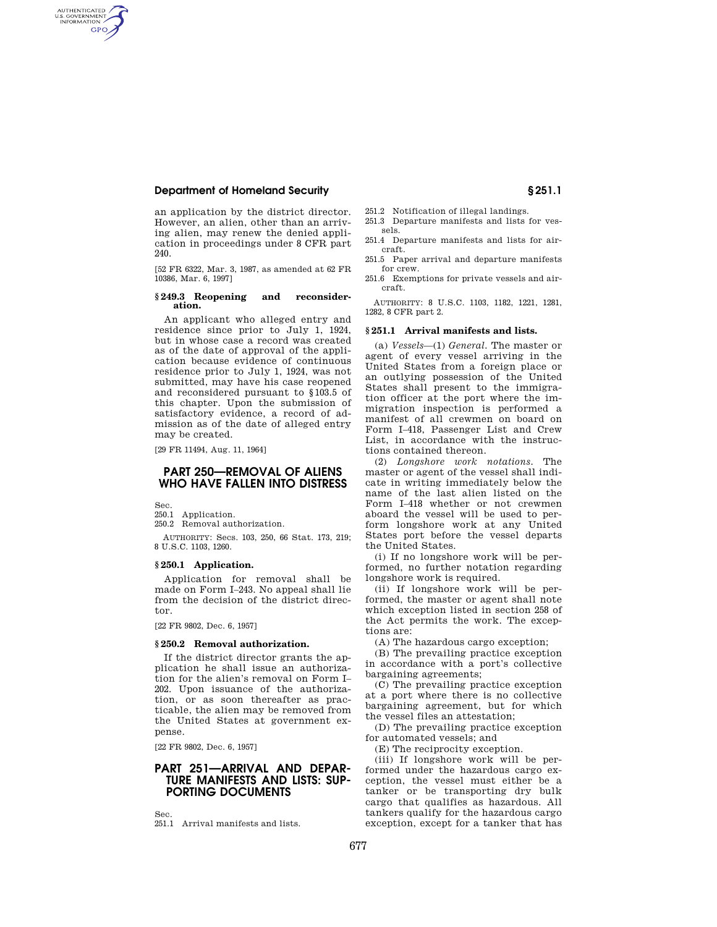# **Department of Homeland Security § 251.1**

an application by the district director. However, an alien, other than an arriving alien, may renew the denied application in proceedings under 8 CFR part 240.

[52 FR 6322, Mar. 3, 1987, as amended at 62 FR 10386, Mar. 6, 1997]

#### **§ 249.3 Reopening and reconsideration.**

An applicant who alleged entry and residence since prior to July 1, 1924, but in whose case a record was created as of the date of approval of the application because evidence of continuous residence prior to July 1, 1924, was not submitted, may have his case reopened and reconsidered pursuant to §103.5 of this chapter. Upon the submission of satisfactory evidence, a record of admission as of the date of alleged entry may be created.

[29 FR 11494, Aug. 11, 1964]

# **PART 250—REMOVAL OF ALIENS WHO HAVE FALLEN INTO DISTRESS**

Sec.

AUTHENTICATED<br>U.S. GOVERNMENT<br>INFORMATION **GPO** 

> 250.1 Application. 250.2 Removal authorization.

AUTHORITY: Secs. 103, 250, 66 Stat. 173, 219; 8 U.S.C. 1103, 1260.

#### **§ 250.1 Application.**

Application for removal shall be made on Form I–243. No appeal shall lie from the decision of the district director.

[22 FR 9802, Dec. 6, 1957]

## **§ 250.2 Removal authorization.**

If the district director grants the application he shall issue an authorization for the alien's removal on Form I– 202. Upon issuance of the authorization, or as soon thereafter as practicable, the alien may be removed from the United States at government expense.

[22 FR 9802, Dec. 6, 1957]

# **PART 251—ARRIVAL AND DEPAR-TURE MANIFESTS AND LISTS: SUP-PORTING DOCUMENTS**

Sec. 251.1 Arrival manifests and lists.

- 251.2 Notification of illegal landings.
- 251.3 Departure manifests and lists for vessels.
- 251.4 Departure manifests and lists for aircraft.
- 251.5 Paper arrival and departure manifests for crew.
- 251.6 Exemptions for private vessels and aircraft.

AUTHORITY: 8 U.S.C. 1103, 1182, 1221, 1281, 1282, 8 CFR part 2.

## **§ 251.1 Arrival manifests and lists.**

(a) *Vessels*—(1) *General.* The master or agent of every vessel arriving in the United States from a foreign place or an outlying possession of the United States shall present to the immigration officer at the port where the immigration inspection is performed a manifest of all crewmen on board on Form I–418, Passenger List and Crew List, in accordance with the instructions contained thereon.

(2) *Longshore work notations.* The master or agent of the vessel shall indicate in writing immediately below the name of the last alien listed on the Form I–418 whether or not crewmen aboard the vessel will be used to perform longshore work at any United States port before the vessel departs the United States.

(i) If no longshore work will be performed, no further notation regarding longshore work is required.

(ii) If longshore work will be performed, the master or agent shall note which exception listed in section 258 of the Act permits the work. The exceptions are:

(A) The hazardous cargo exception;

(B) The prevailing practice exception in accordance with a port's collective bargaining agreements;

(C) The prevailing practice exception at a port where there is no collective bargaining agreement, but for which the vessel files an attestation;

(D) The prevailing practice exception for automated vessels; and

(E) The reciprocity exception.

(iii) If longshore work will be performed under the hazardous cargo exception, the vessel must either be a tanker or be transporting dry bulk cargo that qualifies as hazardous. All tankers qualify for the hazardous cargo exception, except for a tanker that has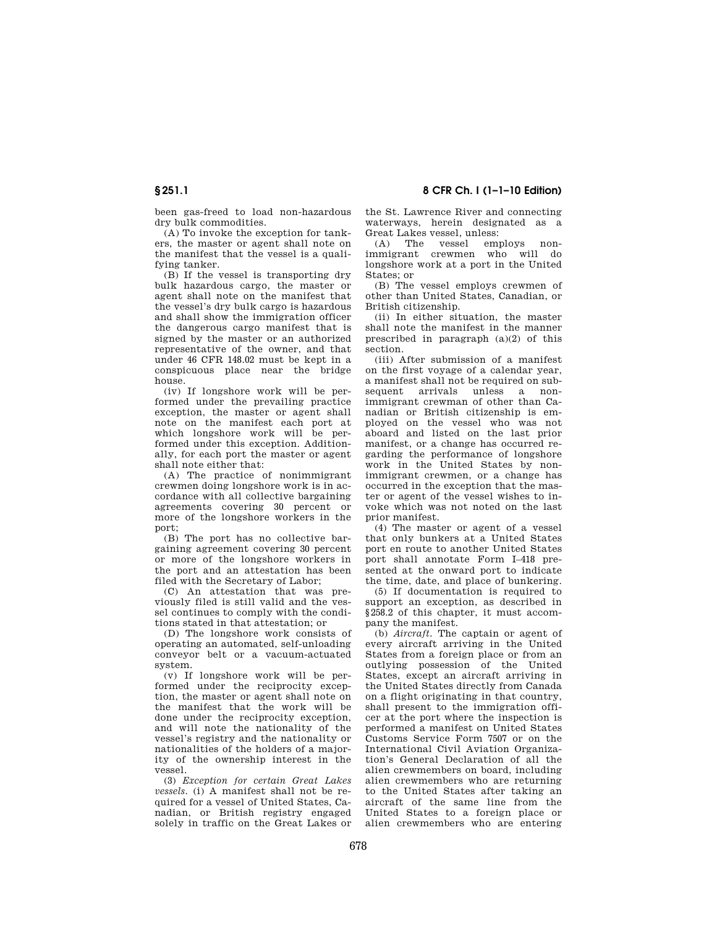been gas-freed to load non-hazardous dry bulk commodities.

(A) To invoke the exception for tankers, the master or agent shall note on the manifest that the vessel is a qualifying tanker.

(B) If the vessel is transporting dry bulk hazardous cargo, the master or agent shall note on the manifest that the vessel's dry bulk cargo is hazardous and shall show the immigration officer the dangerous cargo manifest that is signed by the master or an authorized representative of the owner, and that under 46 CFR 148.02 must be kept in a conspicuous place near the bridge house.

(iv) If longshore work will be performed under the prevailing practice exception, the master or agent shall note on the manifest each port at which longshore work will be performed under this exception. Additionally, for each port the master or agent shall note either that:

(A) The practice of nonimmigrant crewmen doing longshore work is in accordance with all collective bargaining agreements covering 30 percent or more of the longshore workers in the port;

(B) The port has no collective bargaining agreement covering 30 percent or more of the longshore workers in the port and an attestation has been filed with the Secretary of Labor;

(C) An attestation that was previously filed is still valid and the vessel continues to comply with the conditions stated in that attestation; or

(D) The longshore work consists of operating an automated, self-unloading conveyor belt or a vacuum-actuated system.

(v) If longshore work will be performed under the reciprocity exception, the master or agent shall note on the manifest that the work will be done under the reciprocity exception, and will note the nationality of the vessel's registry and the nationality or nationalities of the holders of a majority of the ownership interest in the vessel.

(3) *Exception for certain Great Lakes vessels.* (i) A manifest shall not be required for a vessel of United States, Canadian, or British registry engaged solely in traffic on the Great Lakes or the St. Lawrence River and connecting waterways, herein designated as a Great Lakes vessel, unless:

(A) The vessel employs nonimmigrant crewmen who will do longshore work at a port in the United States; or

(B) The vessel employs crewmen of other than United States, Canadian, or British citizenship.

(ii) In either situation, the master shall note the manifest in the manner prescribed in paragraph (a)(2) of this section.

(iii) After submission of a manifest on the first voyage of a calendar year, a manifest shall not be required on subsequent arrivals unless a nonimmigrant crewman of other than Canadian or British citizenship is employed on the vessel who was not aboard and listed on the last prior manifest, or a change has occurred regarding the performance of longshore work in the United States by nonimmigrant crewmen, or a change has occurred in the exception that the master or agent of the vessel wishes to invoke which was not noted on the last prior manifest.

(4) The master or agent of a vessel that only bunkers at a United States port en route to another United States port shall annotate Form I–418 presented at the onward port to indicate the time, date, and place of bunkering.

(5) If documentation is required to support an exception, as described in §258.2 of this chapter, it must accompany the manifest.

(b) *Aircraft.* The captain or agent of every aircraft arriving in the United States from a foreign place or from an outlying possession of the United States, except an aircraft arriving in the United States directly from Canada on a flight originating in that country, shall present to the immigration officer at the port where the inspection is performed a manifest on United States Customs Service Form 7507 or on the International Civil Aviation Organization's General Declaration of all the alien crewmembers on board, including alien crewmembers who are returning to the United States after taking an aircraft of the same line from the United States to a foreign place or alien crewmembers who are entering